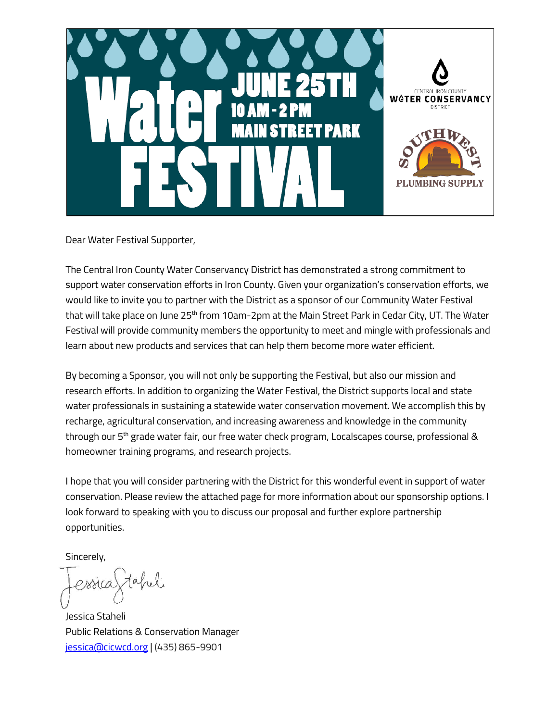

Dear Water Festival Supporter,

The Central Iron County Water Conservancy District has demonstrated a strong commitment to support water conservation efforts in Iron County. Given your organization's conservation efforts, we would like to invite you to partner with the District as a sponsor of our Community Water Festival that will take place on June 25<sup>th</sup> from 10am-2pm at the Main Street Park in Cedar City, UT. The Water Festival will provide community members the opportunity to meet and mingle with professionals and learn about new products and services that can help them become more water efficient.

By becoming a Sponsor, you will not only be supporting the Festival, but also our mission and research efforts. In addition to organizing the Water Festival, the District supports local and state water professionals in sustaining a statewide water conservation movement. We accomplish this by recharge, agricultural conservation, and increasing awareness and knowledge in the community through our 5<sup>th</sup> grade water fair, our free water check program, Localscapes course, professional & homeowner training programs, and research projects.

I hope that you will consider partnering with the District for this wonderful event in support of water conservation. Please review the attached page for more information about our sponsorship options. I look forward to speaking with you to discuss our proposal and further explore partnership opportunities.

Sincerely,

 $\pi$ also proca

Jessica Staheli Public Relations & Conservation Manager [jessica@cicwcd.org](mailto:jessica@cicwcd.org) | (435) 865-9901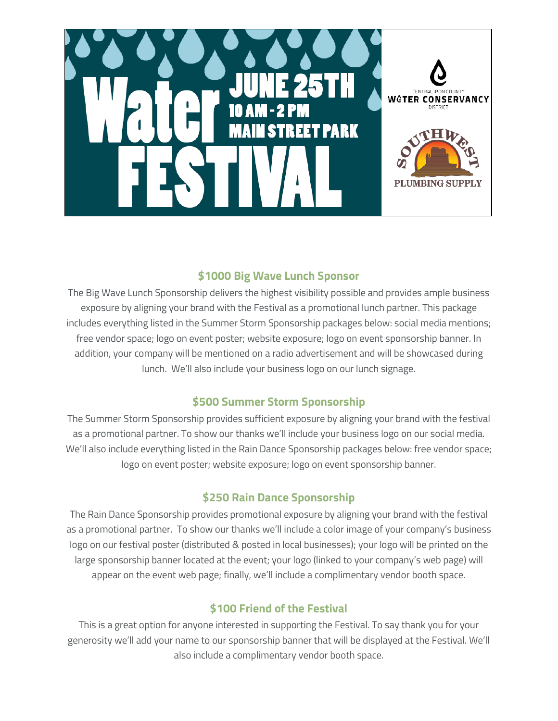

## **\$1000 Big Wave Lunch Sponsor**

The Big Wave Lunch Sponsorship delivers the highest visibility possible and provides ample business exposure by aligning your brand with the Festival as a promotional lunch partner. This package includes everything listed in the Summer Storm Sponsorship packages below: social media mentions; free vendor space; logo on event poster; website exposure; logo on event sponsorship banner. In addition, your company will be mentioned on a radio advertisement and will be showcased during lunch. We'll also include your business logo on our lunch signage.

## **\$500 Summer Storm Sponsorship**

The Summer Storm Sponsorship provides sufficient exposure by aligning your brand with the festival as a promotional partner. To show our thanks we'll include your business logo on our social media. We'll also include everything listed in the Rain Dance Sponsorship packages below: free vendor space; logo on event poster; website exposure; logo on event sponsorship banner.

## **\$250 Rain Dance Sponsorship**

The Rain Dance Sponsorship provides promotional exposure by aligning your brand with the festival as a promotional partner. To show our thanks we'll include a color image of your company's business logo on our festival poster (distributed & posted in local businesses); your logo will be printed on the large sponsorship banner located at the event; your logo (linked to your company's web page) will appear on the event web page; finally, we'll include a complimentary vendor booth space.

## **\$100 Friend of the Festival**

This is a great option for anyone interested in supporting the Festival. To say thank you for your generosity we'll add your name to our sponsorship banner that will be displayed at the Festival. We'll also include a complimentary vendor booth space.